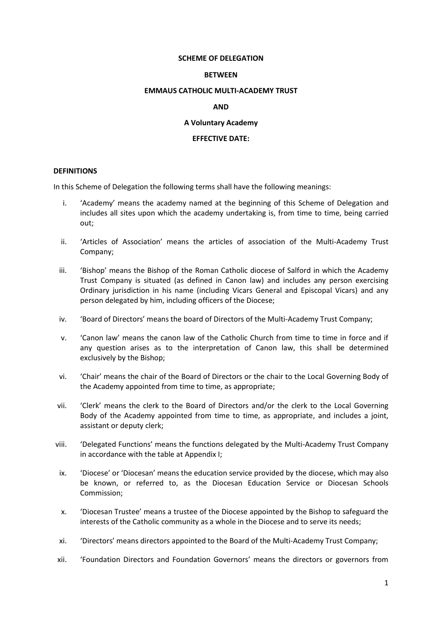#### **SCHEME OF DELEGATION**

#### **BETWEEN**

#### **EMMAUS CATHOLIC MULTI-ACADEMY TRUST**

### **AND**

### **A Voluntary Academy**

### **EFFECTIVE DATE:**

#### **DEFINITIONS**

In this Scheme of Delegation the following terms shall have the following meanings:

- i. 'Academy' means the academy named at the beginning of this Scheme of Delegation and includes all sites upon which the academy undertaking is, from time to time, being carried out;
- ii. 'Articles of Association' means the articles of association of the Multi-Academy Trust Company;
- iii. 'Bishop' means the Bishop of the Roman Catholic diocese of Salford in which the Academy Trust Company is situated (as defined in Canon law) and includes any person exercising Ordinary jurisdiction in his name (including Vicars General and Episcopal Vicars) and any person delegated by him, including officers of the Diocese;
- iv. 'Board of Directors' means the board of Directors of the Multi-Academy Trust Company;
- v. 'Canon law' means the canon law of the Catholic Church from time to time in force and if any question arises as to the interpretation of Canon law, this shall be determined exclusively by the Bishop;
- vi. 'Chair' means the chair of the Board of Directors or the chair to the Local Governing Body of the Academy appointed from time to time, as appropriate;
- vii. 'Clerk' means the clerk to the Board of Directors and/or the clerk to the Local Governing Body of the Academy appointed from time to time, as appropriate, and includes a joint, assistant or deputy clerk;
- viii. 'Delegated Functions' means the functions delegated by the Multi-Academy Trust Company in accordance with the table at Appendix I;
- ix. 'Diocese' or 'Diocesan' means the education service provided by the diocese, which may also be known, or referred to, as the Diocesan Education Service or Diocesan Schools Commission;
- x. 'Diocesan Trustee' means a trustee of the Diocese appointed by the Bishop to safeguard the interests of the Catholic community as a whole in the Diocese and to serve its needs;
- xi. 'Directors' means directors appointed to the Board of the Multi-Academy Trust Company;
- xii. 'Foundation Directors and Foundation Governors' means the directors or governors from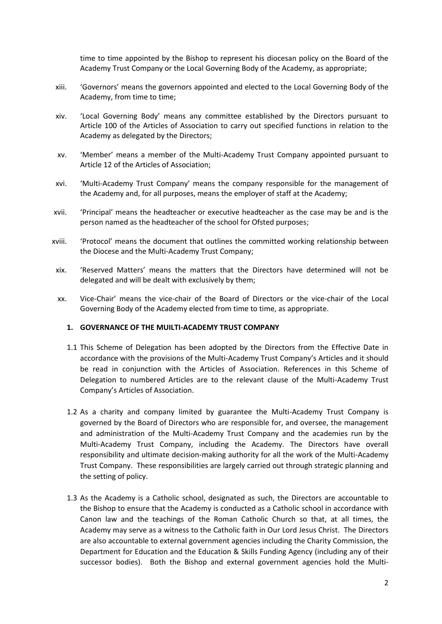time to time appointed by the Bishop to represent his diocesan policy on the Board of the Academy Trust Company or the Local Governing Body of the Academy, as appropriate;

- xiii. 'Governors' means the governors appointed and elected to the Local Governing Body of the Academy, from time to time;
- xiv. 'Local Governing Body' means any committee established by the Directors pursuant to Article 100 of the Articles of Association to carry out specified functions in relation to the Academy as delegated by the Directors;
- xv. 'Member' means a member of the Multi-Academy Trust Company appointed pursuant to Article 12 of the Articles of Association;
- xvi. 'Multi-Academy Trust Company' means the company responsible for the management of the Academy and, for all purposes, means the employer of staff at the Academy;
- xvii. 'Principal' means the headteacher or executive headteacher as the case may be and is the person named as the headteacher of the school for Ofsted purposes;
- xviii. 'Protocol' means the document that outlines the committed working relationship between the Diocese and the Multi-Academy Trust Company;
- xix. 'Reserved Matters' means the matters that the Directors have determined will not be delegated and will be dealt with exclusively by them;
- xx. Vice-Chair' means the vice-chair of the Board of Directors or the vice-chair of the Local Governing Body of the Academy elected from time to time, as appropriate.

### **1. GOVERNANCE OF THE MUILTI-ACADEMY TRUST COMPANY**

- 1.1 This Scheme of Delegation has been adopted by the Directors from the Effective Date in accordance with the provisions of the Multi-Academy Trust Company's Articles and it should be read in conjunction with the Articles of Association. References in this Scheme of Delegation to numbered Articles are to the relevant clause of the Multi-Academy Trust Company's Articles of Association.
- 1.2 As a charity and company limited by guarantee the Multi-Academy Trust Company is governed by the Board of Directors who are responsible for, and oversee, the management and administration of the Multi-Academy Trust Company and the academies run by the Multi-Academy Trust Company, including the Academy. The Directors have overall responsibility and ultimate decision-making authority for all the work of the Multi-Academy Trust Company. These responsibilities are largely carried out through strategic planning and the setting of policy.
- 1.3 As the Academy is a Catholic school, designated as such, the Directors are accountable to the Bishop to ensure that the Academy is conducted as a Catholic school in accordance with Canon law and the teachings of the Roman Catholic Church so that, at all times, the Academy may serve as a witness to the Catholic faith in Our Lord Jesus Christ. The Directors are also accountable to external government agencies including the Charity Commission, the Department for Education and the Education & Skills Funding Agency (including any of their successor bodies). Both the Bishop and external government agencies hold the Multi-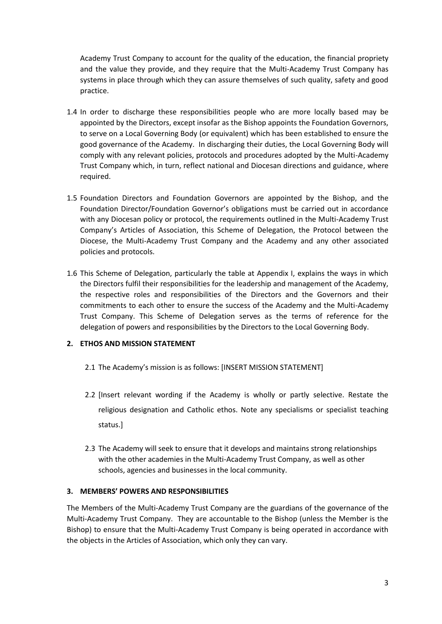Academy Trust Company to account for the quality of the education, the financial propriety and the value they provide, and they require that the Multi-Academy Trust Company has systems in place through which they can assure themselves of such quality, safety and good practice.

- 1.4 In order to discharge these responsibilities people who are more locally based may be appointed by the Directors, except insofar as the Bishop appoints the Foundation Governors, to serve on a Local Governing Body (or equivalent) which has been established to ensure the good governance of the Academy. In discharging their duties, the Local Governing Body will comply with any relevant policies, protocols and procedures adopted by the Multi-Academy Trust Company which, in turn, reflect national and Diocesan directions and guidance, where required.
- 1.5 Foundation Directors and Foundation Governors are appointed by the Bishop, and the Foundation Director/Foundation Governor's obligations must be carried out in accordance with any Diocesan policy or protocol, the requirements outlined in the Multi-Academy Trust Company's Articles of Association, this Scheme of Delegation, the Protocol between the Diocese, the Multi-Academy Trust Company and the Academy and any other associated policies and protocols.
- 1.6 This Scheme of Delegation, particularly the table at Appendix I, explains the ways in which the Directors fulfil their responsibilities for the leadership and management of the Academy, the respective roles and responsibilities of the Directors and the Governors and their commitments to each other to ensure the success of the Academy and the Multi-Academy Trust Company. This Scheme of Delegation serves as the terms of reference for the delegation of powers and responsibilities by the Directors to the Local Governing Body.

# **2. ETHOS AND MISSION STATEMENT**

- 2.1 The Academy's mission is as follows: [INSERT MISSION STATEMENT]
- 2.2 [Insert relevant wording if the Academy is wholly or partly selective. Restate the religious designation and Catholic ethos. Note any specialisms or specialist teaching status.]
- 2.3 The Academy will seek to ensure that it develops and maintains strong relationships with the other academies in the Multi-Academy Trust Company, as well as other schools, agencies and businesses in the local community.

### **3. MEMBERS' POWERS AND RESPONSIBILITIES**

The Members of the Multi-Academy Trust Company are the guardians of the governance of the Multi-Academy Trust Company. They are accountable to the Bishop (unless the Member is the Bishop) to ensure that the Multi-Academy Trust Company is being operated in accordance with the objects in the Articles of Association, which only they can vary.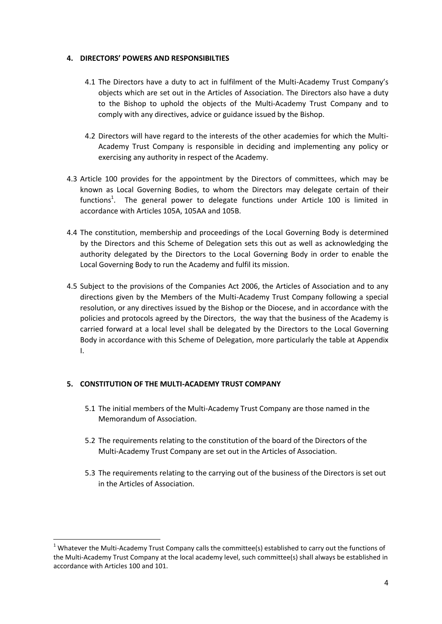### **4. DIRECTORS' POWERS AND RESPONSIBILTIES**

- 4.1 The Directors have a duty to act in fulfilment of the Multi-Academy Trust Company's objects which are set out in the Articles of Association. The Directors also have a duty to the Bishop to uphold the objects of the Multi-Academy Trust Company and to comply with any directives, advice or guidance issued by the Bishop.
- 4.2 Directors will have regard to the interests of the other academies for which the Multi-Academy Trust Company is responsible in deciding and implementing any policy or exercising any authority in respect of the Academy.
- 4.3 Article 100 provides for the appointment by the Directors of committees, which may be known as Local Governing Bodies, to whom the Directors may delegate certain of their functions<sup>1</sup>. The general power to delegate functions under Article 100 is limited in accordance with Articles 105A, 105AA and 105B.
- 4.4 The constitution, membership and proceedings of the Local Governing Body is determined by the Directors and this Scheme of Delegation sets this out as well as acknowledging the authority delegated by the Directors to the Local Governing Body in order to enable the Local Governing Body to run the Academy and fulfil its mission.
- 4.5 Subject to the provisions of the Companies Act 2006, the Articles of Association and to any directions given by the Members of the Multi-Academy Trust Company following a special resolution, or any directives issued by the Bishop or the Diocese, and in accordance with the policies and protocols agreed by the Directors, the way that the business of the Academy is carried forward at a local level shall be delegated by the Directors to the Local Governing Body in accordance with this Scheme of Delegation, more particularly the table at Appendix I.

### **5. CONSTITUTION OF THE MULTI-ACADEMY TRUST COMPANY**

**.** 

- 5.1 The initial members of the Multi-Academy Trust Company are those named in the Memorandum of Association.
- 5.2 The requirements relating to the constitution of the board of the Directors of the Multi-Academy Trust Company are set out in the Articles of Association.
- 5.3 The requirements relating to the carrying out of the business of the Directors is set out in the Articles of Association.

 $1$  Whatever the Multi-Academy Trust Company calls the committee(s) established to carry out the functions of the Multi-Academy Trust Company at the local academy level, such committee(s) shall always be established in accordance with Articles 100 and 101.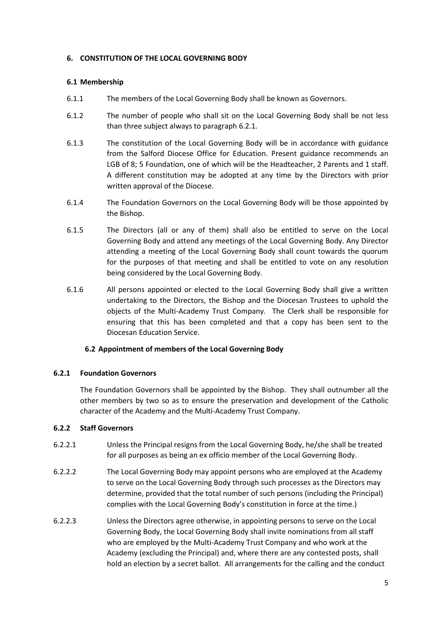### **6. CONSTITUTION OF THE LOCAL GOVERNING BODY**

## **6.1 Membership**

- 6.1.1 The members of the Local Governing Body shall be known as Governors.
- 6.1.2 The number of people who shall sit on the Local Governing Body shall be not less than three subject always to paragraph 6.2.1.
- 6.1.3 The constitution of the Local Governing Body will be in accordance with guidance from the Salford Diocese Office for Education. Present guidance recommends an LGB of 8; 5 Foundation, one of which will be the Headteacher, 2 Parents and 1 staff. A different constitution may be adopted at any time by the Directors with prior written approval of the Diocese.
- 6.1.4 The Foundation Governors on the Local Governing Body will be those appointed by the Bishop.
- 6.1.5 The Directors (all or any of them) shall also be entitled to serve on the Local Governing Body and attend any meetings of the Local Governing Body. Any Director attending a meeting of the Local Governing Body shall count towards the quorum for the purposes of that meeting and shall be entitled to vote on any resolution being considered by the Local Governing Body.
- 6.1.6 All persons appointed or elected to the Local Governing Body shall give a written undertaking to the Directors, the Bishop and the Diocesan Trustees to uphold the objects of the Multi-Academy Trust Company. The Clerk shall be responsible for ensuring that this has been completed and that a copy has been sent to the Diocesan Education Service.

# **6.2 Appointment of members of the Local Governing Body**

# **6.2.1 Foundation Governors**

The Foundation Governors shall be appointed by the Bishop. They shall outnumber all the other members by two so as to ensure the preservation and development of the Catholic character of the Academy and the Multi-Academy Trust Company.

### **6.2.2 Staff Governors**

- 6.2.2.1 Unless the Principal resigns from the Local Governing Body, he/she shall be treated for all purposes as being an ex officio member of the Local Governing Body.
- 6.2.2.2 The Local Governing Body may appoint persons who are employed at the Academy to serve on the Local Governing Body through such processes as the Directors may determine, provided that the total number of such persons (including the Principal) complies with the Local Governing Body's constitution in force at the time.)
- 6.2.2.3 Unless the Directors agree otherwise, in appointing persons to serve on the Local Governing Body, the Local Governing Body shall invite nominations from all staff who are employed by the Multi-Academy Trust Company and who work at the Academy (excluding the Principal) and, where there are any contested posts, shall hold an election by a secret ballot. All arrangements for the calling and the conduct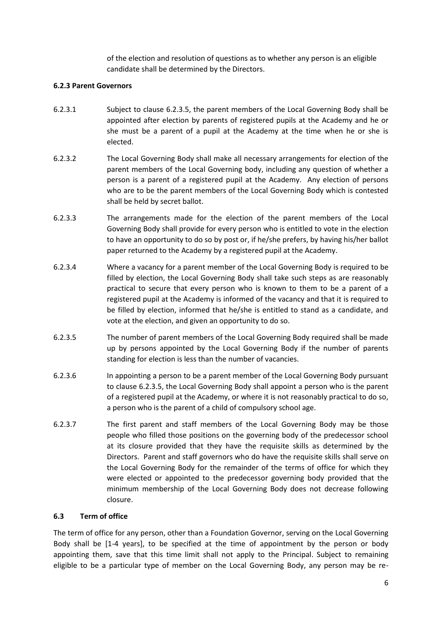of the election and resolution of questions as to whether any person is an eligible candidate shall be determined by the Directors.

## **6.2.3 Parent Governors**

- 6.2.3.1 Subject to clause 6.2.3.5, the parent members of the Local Governing Body shall be appointed after election by parents of registered pupils at the Academy and he or she must be a parent of a pupil at the Academy at the time when he or she is elected.
- 6.2.3.2 The Local Governing Body shall make all necessary arrangements for election of the parent members of the Local Governing body, including any question of whether a person is a parent of a registered pupil at the Academy. Any election of persons who are to be the parent members of the Local Governing Body which is contested shall be held by secret ballot.
- 6.2.3.3 The arrangements made for the election of the parent members of the Local Governing Body shall provide for every person who is entitled to vote in the election to have an opportunity to do so by post or, if he/she prefers, by having his/her ballot paper returned to the Academy by a registered pupil at the Academy.
- 6.2.3.4 Where a vacancy for a parent member of the Local Governing Body is required to be filled by election, the Local Governing Body shall take such steps as are reasonably practical to secure that every person who is known to them to be a parent of a registered pupil at the Academy is informed of the vacancy and that it is required to be filled by election, informed that he/she is entitled to stand as a candidate, and vote at the election, and given an opportunity to do so.
- 6.2.3.5 The number of parent members of the Local Governing Body required shall be made up by persons appointed by the Local Governing Body if the number of parents standing for election is less than the number of vacancies.
- 6.2.3.6 In appointing a person to be a parent member of the Local Governing Body pursuant to clause 6.2.3.5, the Local Governing Body shall appoint a person who is the parent of a registered pupil at the Academy, or where it is not reasonably practical to do so, a person who is the parent of a child of compulsory school age.
- 6.2.3.7 The first parent and staff members of the Local Governing Body may be those people who filled those positions on the governing body of the predecessor school at its closure provided that they have the requisite skills as determined by the Directors. Parent and staff governors who do have the requisite skills shall serve on the Local Governing Body for the remainder of the terms of office for which they were elected or appointed to the predecessor governing body provided that the minimum membership of the Local Governing Body does not decrease following closure.

### **6.3 Term of office**

The term of office for any person, other than a Foundation Governor, serving on the Local Governing Body shall be [1-4 years], to be specified at the time of appointment by the person or body appointing them, save that this time limit shall not apply to the Principal. Subject to remaining eligible to be a particular type of member on the Local Governing Body, any person may be re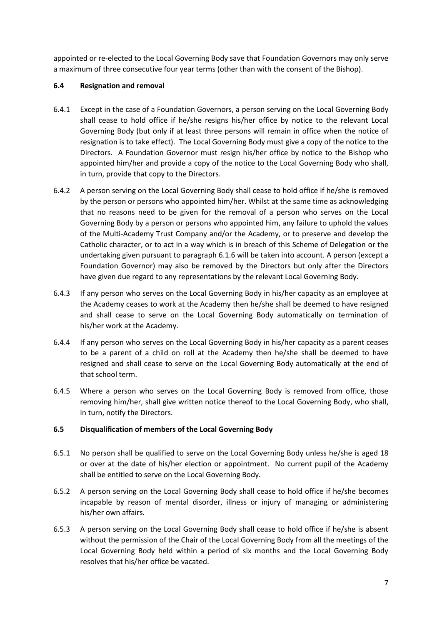appointed or re-elected to the Local Governing Body save that Foundation Governors may only serve a maximum of three consecutive four year terms (other than with the consent of the Bishop).

# **6.4 Resignation and removal**

- 6.4.1 Except in the case of a Foundation Governors, a person serving on the Local Governing Body shall cease to hold office if he/she resigns his/her office by notice to the relevant Local Governing Body (but only if at least three persons will remain in office when the notice of resignation is to take effect). The Local Governing Body must give a copy of the notice to the Directors. A Foundation Governor must resign his/her office by notice to the Bishop who appointed him/her and provide a copy of the notice to the Local Governing Body who shall, in turn, provide that copy to the Directors.
- 6.4.2 A person serving on the Local Governing Body shall cease to hold office if he/she is removed by the person or persons who appointed him/her. Whilst at the same time as acknowledging that no reasons need to be given for the removal of a person who serves on the Local Governing Body by a person or persons who appointed him, any failure to uphold the values of the Multi-Academy Trust Company and/or the Academy, or to preserve and develop the Catholic character, or to act in a way which is in breach of this Scheme of Delegation or the undertaking given pursuant to paragraph 6.1.6 will be taken into account. A person (except a Foundation Governor) may also be removed by the Directors but only after the Directors have given due regard to any representations by the relevant Local Governing Body.
- 6.4.3 If any person who serves on the Local Governing Body in his/her capacity as an employee at the Academy ceases to work at the Academy then he/she shall be deemed to have resigned and shall cease to serve on the Local Governing Body automatically on termination of his/her work at the Academy.
- 6.4.4 If any person who serves on the Local Governing Body in his/her capacity as a parent ceases to be a parent of a child on roll at the Academy then he/she shall be deemed to have resigned and shall cease to serve on the Local Governing Body automatically at the end of that school term.
- 6.4.5 Where a person who serves on the Local Governing Body is removed from office, those removing him/her, shall give written notice thereof to the Local Governing Body, who shall, in turn, notify the Directors.

# **6.5 Disqualification of members of the Local Governing Body**

- 6.5.1 No person shall be qualified to serve on the Local Governing Body unless he/she is aged 18 or over at the date of his/her election or appointment. No current pupil of the Academy shall be entitled to serve on the Local Governing Body.
- 6.5.2 A person serving on the Local Governing Body shall cease to hold office if he/she becomes incapable by reason of mental disorder, illness or injury of managing or administering his/her own affairs.
- 6.5.3 A person serving on the Local Governing Body shall cease to hold office if he/she is absent without the permission of the Chair of the Local Governing Body from all the meetings of the Local Governing Body held within a period of six months and the Local Governing Body resolves that his/her office be vacated.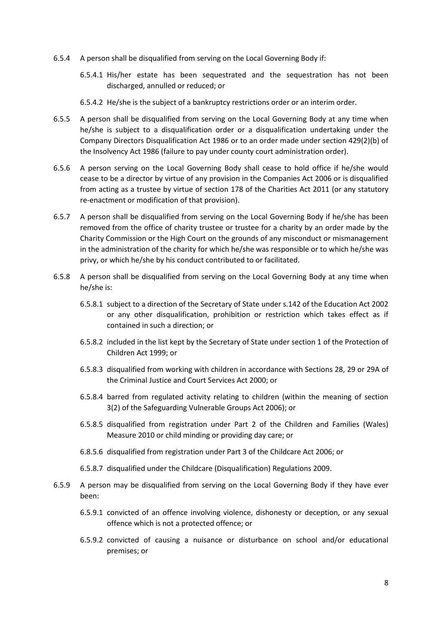- 6.5.4 A person shall be disqualified from serving on the Local Governing Body if:
	- 6.5.4.1 His/her estate has been sequestrated and the sequestration has not been discharged, annulled or reduced; or
	- 6.5.4.2 He/she is the subject of a bankruptcy restrictions order or an interim order.
- 6.5.5 A person shall be disqualified from serving on the Local Governing Body at any time when he/she is subject to a disqualification order or a disqualification undertaking under the Company Directors Disqualification Act 1986 or to an order made under section 429(2)(b) of the Insolvency Act 1986 (failure to pay under county court administration order).
- 6.5.6 A person serving on the Local Governing Body shall cease to hold office if he/she would cease to be a director by virtue of any provision in the Companies Act 2006 or is disqualified from acting as a trustee by virtue of section 178 of the Charities Act 2011 (or any statutory re-enactment or modification of that provision).
- 6.5.7 A person shall be disqualified from serving on the Local Governing Body if he/she has been removed from the office of charity trustee or trustee for a charity by an order made by the Charity Commission or the High Court on the grounds of any misconduct or mismanagement in the administration of the charity for which he/she was responsible or to which he/she was privy, or which he/she by his conduct contributed to or facilitated.
- 6.5.8 A person shall be disqualified from serving on the Local Governing Body at any time when he/she is:
	- 6.5.8.1 subject to a direction of the Secretary of State under s.142 of the Education Act 2002 or any other disqualification, prohibition or restriction which takes effect as if contained in such a direction; or
	- 6.5.8.2 included in the list kept by the Secretary of State under section 1 of the Protection of Children Act 1999; or
	- 6.5.8.3 disqualified from working with children in accordance with Sections 28, 29 or 29A of the Criminal Justice and Court Services Act 2000; or
	- 6.5.8.4 barred from regulated activity relating to children (within the meaning of section 3(2) of the Safeguarding Vulnerable Groups Act 2006); or
	- 6.5.8.5 disqualified from registration under Part 2 of the Children and Families (Wales) Measure 2010 or child minding or providing day care; or
	- 6.8.5.6 disqualified from registration under Part 3 of the Childcare Act 2006; or
	- 6.5.8.7 disqualified under the Childcare (Disqualification) Regulations 2009.
- 6.5.9 A person may be disqualified from serving on the Local Governing Body if they have ever been:
	- 6.5.9.1 convicted of an offence involving violence, dishonesty or deception, or any sexual offence which is not a protected offence; or
	- 6.5.9.2 convicted of causing a nuisance or disturbance on school and/or educational premises; or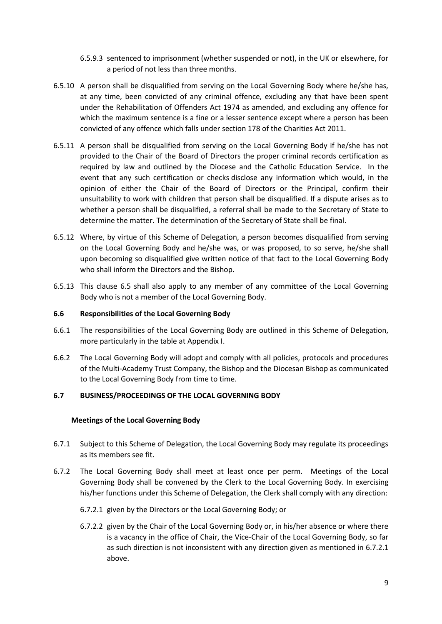- 6.5.9.3 sentenced to imprisonment (whether suspended or not), in the UK or elsewhere, for a period of not less than three months.
- 6.5.10 A person shall be disqualified from serving on the Local Governing Body where he/she has, at any time, been convicted of any criminal offence, excluding any that have been spent under the Rehabilitation of Offenders Act 1974 as amended, and excluding any offence for which the maximum sentence is a fine or a lesser sentence except where a person has been convicted of any offence which falls under section 178 of the Charities Act 2011.
- 6.5.11 A person shall be disqualified from serving on the Local Governing Body if he/she has not provided to the Chair of the Board of Directors the proper criminal records certification as required by law and outlined by the Diocese and the Catholic Education Service. In the event that any such certification or checks disclose any information which would, in the opinion of either the Chair of the Board of Directors or the Principal, confirm their unsuitability to work with children that person shall be disqualified. If a dispute arises as to whether a person shall be disqualified, a referral shall be made to the Secretary of State to determine the matter. The determination of the Secretary of State shall be final.
- 6.5.12 Where, by virtue of this Scheme of Delegation, a person becomes disqualified from serving on the Local Governing Body and he/she was, or was proposed, to so serve, he/she shall upon becoming so disqualified give written notice of that fact to the Local Governing Body who shall inform the Directors and the Bishop.
- 6.5.13 This clause 6.5 shall also apply to any member of any committee of the Local Governing Body who is not a member of the Local Governing Body.

### **6.6 Responsibilities of the Local Governing Body**

- 6.6.1 The responsibilities of the Local Governing Body are outlined in this Scheme of Delegation, more particularly in the table at Appendix I.
- 6.6.2 The Local Governing Body will adopt and comply with all policies, protocols and procedures of the Multi-Academy Trust Company, the Bishop and the Diocesan Bishop as communicated to the Local Governing Body from time to time.

### **6.7 BUSINESS/PROCEEDINGS OF THE LOCAL GOVERNING BODY**

### **Meetings of the Local Governing Body**

- 6.7.1 Subject to this Scheme of Delegation, the Local Governing Body may regulate its proceedings as its members see fit.
- 6.7.2 The Local Governing Body shall meet at least once per perm. Meetings of the Local Governing Body shall be convened by the Clerk to the Local Governing Body. In exercising his/her functions under this Scheme of Delegation, the Clerk shall comply with any direction:
	- 6.7.2.1 given by the Directors or the Local Governing Body; or
	- 6.7.2.2 given by the Chair of the Local Governing Body or, in his/her absence or where there is a vacancy in the office of Chair, the Vice-Chair of the Local Governing Body, so far as such direction is not inconsistent with any direction given as mentioned in 6.7.2.1 above.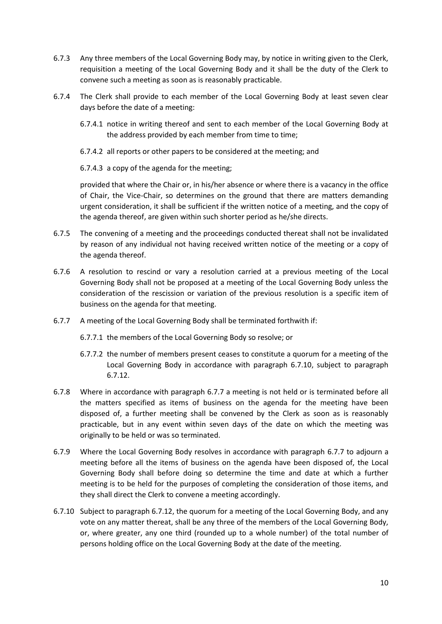- 6.7.3 Any three members of the Local Governing Body may, by notice in writing given to the Clerk, requisition a meeting of the Local Governing Body and it shall be the duty of the Clerk to convene such a meeting as soon as is reasonably practicable.
- 6.7.4 The Clerk shall provide to each member of the Local Governing Body at least seven clear days before the date of a meeting:
	- 6.7.4.1 notice in writing thereof and sent to each member of the Local Governing Body at the address provided by each member from time to time;
	- 6.7.4.2 all reports or other papers to be considered at the meeting; and

6.7.4.3 a copy of the agenda for the meeting;

provided that where the Chair or, in his/her absence or where there is a vacancy in the office of Chair, the Vice-Chair, so determines on the ground that there are matters demanding urgent consideration, it shall be sufficient if the written notice of a meeting, and the copy of the agenda thereof, are given within such shorter period as he/she directs.

- 6.7.5 The convening of a meeting and the proceedings conducted thereat shall not be invalidated by reason of any individual not having received written notice of the meeting or a copy of the agenda thereof.
- 6.7.6 A resolution to rescind or vary a resolution carried at a previous meeting of the Local Governing Body shall not be proposed at a meeting of the Local Governing Body unless the consideration of the rescission or variation of the previous resolution is a specific item of business on the agenda for that meeting.
- 6.7.7 A meeting of the Local Governing Body shall be terminated forthwith if:
	- 6.7.7.1 the members of the Local Governing Body so resolve; or
	- 6.7.7.2 the number of members present ceases to constitute a quorum for a meeting of the Local Governing Body in accordance with paragraph 6.7.10, subject to paragraph 6.7.12.
- 6.7.8 Where in accordance with paragraph 6.7.7 a meeting is not held or is terminated before all the matters specified as items of business on the agenda for the meeting have been disposed of, a further meeting shall be convened by the Clerk as soon as is reasonably practicable, but in any event within seven days of the date on which the meeting was originally to be held or was so terminated.
- 6.7.9 Where the Local Governing Body resolves in accordance with paragraph 6.7.7 to adjourn a meeting before all the items of business on the agenda have been disposed of, the Local Governing Body shall before doing so determine the time and date at which a further meeting is to be held for the purposes of completing the consideration of those items, and they shall direct the Clerk to convene a meeting accordingly.
- 6.7.10 Subject to paragraph 6.7.12, the quorum for a meeting of the Local Governing Body, and any vote on any matter thereat, shall be any three of the members of the Local Governing Body, or, where greater, any one third (rounded up to a whole number) of the total number of persons holding office on the Local Governing Body at the date of the meeting.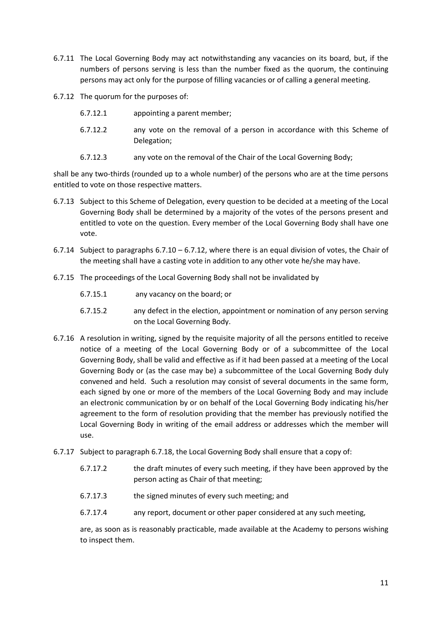- 6.7.11 The Local Governing Body may act notwithstanding any vacancies on its board, but, if the numbers of persons serving is less than the number fixed as the quorum, the continuing persons may act only for the purpose of filling vacancies or of calling a general meeting.
- 6.7.12 The quorum for the purposes of:
	- 6.7.12.1 appointing a parent member;
	- 6.7.12.2 any vote on the removal of a person in accordance with this Scheme of Delegation;
	- 6.7.12.3 any vote on the removal of the Chair of the Local Governing Body;

shall be any two-thirds (rounded up to a whole number) of the persons who are at the time persons entitled to vote on those respective matters.

- 6.7.13 Subject to this Scheme of Delegation, every question to be decided at a meeting of the Local Governing Body shall be determined by a majority of the votes of the persons present and entitled to vote on the question. Every member of the Local Governing Body shall have one vote.
- 6.7.14 Subject to paragraphs  $6.7.10 6.7.12$ , where there is an equal division of votes, the Chair of the meeting shall have a casting vote in addition to any other vote he/she may have.
- 6.7.15 The proceedings of the Local Governing Body shall not be invalidated by
	- 6.7.15.1 any vacancy on the board; or
	- 6.7.15.2 any defect in the election, appointment or nomination of any person serving on the Local Governing Body.
- 6.7.16 A resolution in writing, signed by the requisite majority of all the persons entitled to receive notice of a meeting of the Local Governing Body or of a subcommittee of the Local Governing Body, shall be valid and effective as if it had been passed at a meeting of the Local Governing Body or (as the case may be) a subcommittee of the Local Governing Body duly convened and held. Such a resolution may consist of several documents in the same form, each signed by one or more of the members of the Local Governing Body and may include an electronic communication by or on behalf of the Local Governing Body indicating his/her agreement to the form of resolution providing that the member has previously notified the Local Governing Body in writing of the email address or addresses which the member will use.
- 6.7.17 Subject to paragraph 6.7.18, the Local Governing Body shall ensure that a copy of:
	- 6.7.17.2 the draft minutes of every such meeting, if they have been approved by the person acting as Chair of that meeting;
	- 6.7.17.3 the signed minutes of every such meeting; and
	- 6.7.17.4 any report, document or other paper considered at any such meeting,

are, as soon as is reasonably practicable, made available at the Academy to persons wishing to inspect them.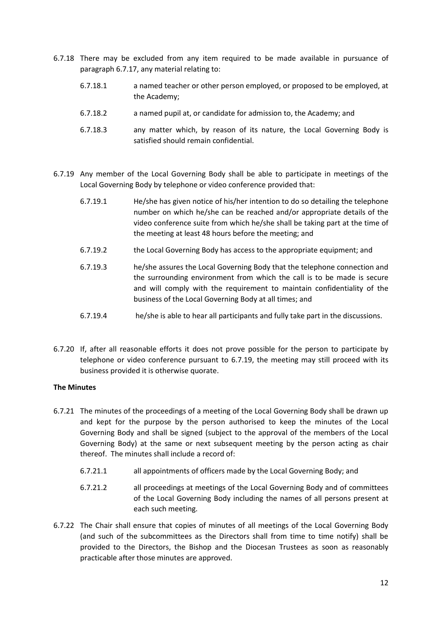- 6.7.18 There may be excluded from any item required to be made available in pursuance of paragraph 6.7.17, any material relating to:
	- 6.7.18.1 a named teacher or other person employed, or proposed to be employed, at the Academy;
	- 6.7.18.2 a named pupil at, or candidate for admission to, the Academy; and
	- 6.7.18.3 any matter which, by reason of its nature, the Local Governing Body is satisfied should remain confidential.
- 6.7.19 Any member of the Local Governing Body shall be able to participate in meetings of the Local Governing Body by telephone or video conference provided that:
	- 6.7.19.1 He/she has given notice of his/her intention to do so detailing the telephone number on which he/she can be reached and/or appropriate details of the video conference suite from which he/she shall be taking part at the time of the meeting at least 48 hours before the meeting; and
	- 6.7.19.2 the Local Governing Body has access to the appropriate equipment; and
	- 6.7.19.3 he/she assures the Local Governing Body that the telephone connection and the surrounding environment from which the call is to be made is secure and will comply with the requirement to maintain confidentiality of the business of the Local Governing Body at all times; and
	- 6.7.19.4 he/she is able to hear all participants and fully take part in the discussions.
- 6.7.20 If, after all reasonable efforts it does not prove possible for the person to participate by telephone or video conference pursuant to 6.7.19, the meeting may still proceed with its business provided it is otherwise quorate.

### **The Minutes**

- 6.7.21 The minutes of the proceedings of a meeting of the Local Governing Body shall be drawn up and kept for the purpose by the person authorised to keep the minutes of the Local Governing Body and shall be signed (subject to the approval of the members of the Local Governing Body) at the same or next subsequent meeting by the person acting as chair thereof. The minutes shall include a record of:
	- 6.7.21.1 all appointments of officers made by the Local Governing Body; and
	- 6.7.21.2 all proceedings at meetings of the Local Governing Body and of committees of the Local Governing Body including the names of all persons present at each such meeting.
- 6.7.22 The Chair shall ensure that copies of minutes of all meetings of the Local Governing Body (and such of the subcommittees as the Directors shall from time to time notify) shall be provided to the Directors, the Bishop and the Diocesan Trustees as soon as reasonably practicable after those minutes are approved.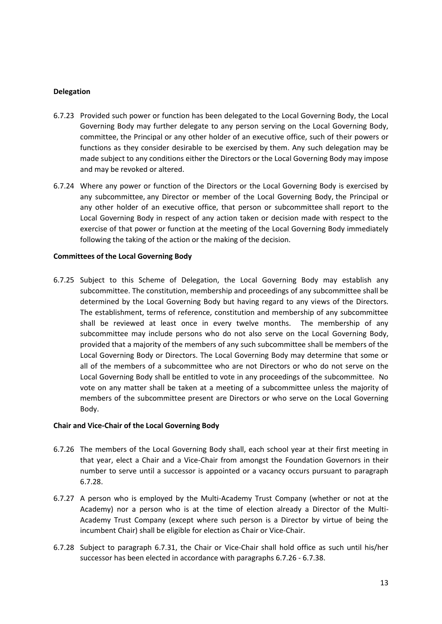### **Delegation**

- 6.7.23 Provided such power or function has been delegated to the Local Governing Body, the Local Governing Body may further delegate to any person serving on the Local Governing Body, committee, the Principal or any other holder of an executive office, such of their powers or functions as they consider desirable to be exercised by them. Any such delegation may be made subject to any conditions either the Directors or the Local Governing Body may impose and may be revoked or altered.
- 6.7.24 Where any power or function of the Directors or the Local Governing Body is exercised by any subcommittee, any Director or member of the Local Governing Body, the Principal or any other holder of an executive office, that person or subcommittee shall report to the Local Governing Body in respect of any action taken or decision made with respect to the exercise of that power or function at the meeting of the Local Governing Body immediately following the taking of the action or the making of the decision.

### **Committees of the Local Governing Body**

6.7.25 Subject to this Scheme of Delegation, the Local Governing Body may establish any subcommittee. The constitution, membership and proceedings of any subcommittee shall be determined by the Local Governing Body but having regard to any views of the Directors. The establishment, terms of reference, constitution and membership of any subcommittee shall be reviewed at least once in every twelve months. The membership of any subcommittee may include persons who do not also serve on the Local Governing Body, provided that a majority of the members of any such subcommittee shall be members of the Local Governing Body or Directors. The Local Governing Body may determine that some or all of the members of a subcommittee who are not Directors or who do not serve on the Local Governing Body shall be entitled to vote in any proceedings of the subcommittee. No vote on any matter shall be taken at a meeting of a subcommittee unless the majority of members of the subcommittee present are Directors or who serve on the Local Governing Body.

### **Chair and Vice-Chair of the Local Governing Body**

- 6.7.26 The members of the Local Governing Body shall, each school year at their first meeting in that year, elect a Chair and a Vice-Chair from amongst the Foundation Governors in their number to serve until a successor is appointed or a vacancy occurs pursuant to paragraph 6.7.28.
- 6.7.27 A person who is employed by the Multi-Academy Trust Company (whether or not at the Academy) nor a person who is at the time of election already a Director of the Multi-Academy Trust Company (except where such person is a Director by virtue of being the incumbent Chair) shall be eligible for election as Chair or Vice-Chair.
- 6.7.28 Subject to paragraph 6.7.31, the Chair or Vice-Chair shall hold office as such until his/her successor has been elected in accordance with paragraphs 6.7.26 - 6.7.38.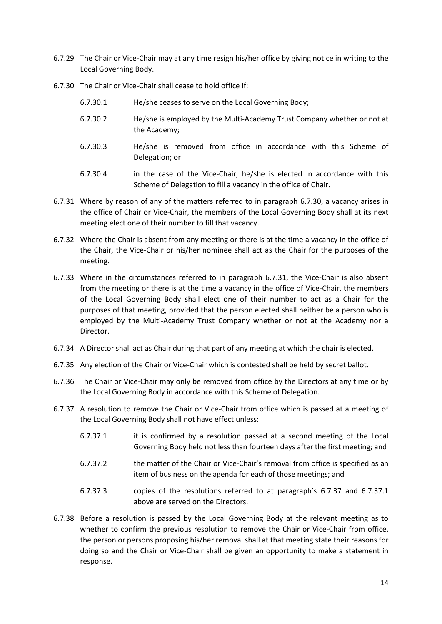- 6.7.29 The Chair or Vice-Chair may at any time resign his/her office by giving notice in writing to the Local Governing Body.
- 6.7.30 The Chair or Vice-Chair shall cease to hold office if:
	- 6.7.30.1 He/she ceases to serve on the Local Governing Body;
	- 6.7.30.2 He/she is employed by the Multi-Academy Trust Company whether or not at the Academy;
	- 6.7.30.3 He/she is removed from office in accordance with this Scheme of Delegation; or
	- 6.7.30.4 in the case of the Vice-Chair, he/she is elected in accordance with this Scheme of Delegation to fill a vacancy in the office of Chair.
- 6.7.31 Where by reason of any of the matters referred to in paragraph 6.7.30, a vacancy arises in the office of Chair or Vice-Chair, the members of the Local Governing Body shall at its next meeting elect one of their number to fill that vacancy.
- 6.7.32 Where the Chair is absent from any meeting or there is at the time a vacancy in the office of the Chair, the Vice-Chair or his/her nominee shall act as the Chair for the purposes of the meeting.
- 6.7.33 Where in the circumstances referred to in paragraph 6.7.31, the Vice-Chair is also absent from the meeting or there is at the time a vacancy in the office of Vice-Chair, the members of the Local Governing Body shall elect one of their number to act as a Chair for the purposes of that meeting, provided that the person elected shall neither be a person who is employed by the Multi-Academy Trust Company whether or not at the Academy nor a Director.
- 6.7.34 A Director shall act as Chair during that part of any meeting at which the chair is elected.
- 6.7.35 Any election of the Chair or Vice-Chair which is contested shall be held by secret ballot.
- 6.7.36 The Chair or Vice-Chair may only be removed from office by the Directors at any time or by the Local Governing Body in accordance with this Scheme of Delegation.
- 6.7.37 A resolution to remove the Chair or Vice-Chair from office which is passed at a meeting of the Local Governing Body shall not have effect unless:
	- 6.7.37.1 it is confirmed by a resolution passed at a second meeting of the Local Governing Body held not less than fourteen days after the first meeting; and
	- 6.7.37.2 the matter of the Chair or Vice-Chair's removal from office is specified as an item of business on the agenda for each of those meetings; and
	- 6.7.37.3 copies of the resolutions referred to at paragraph's 6.7.37 and 6.7.37.1 above are served on the Directors.
- 6.7.38 Before a resolution is passed by the Local Governing Body at the relevant meeting as to whether to confirm the previous resolution to remove the Chair or Vice-Chair from office, the person or persons proposing his/her removal shall at that meeting state their reasons for doing so and the Chair or Vice-Chair shall be given an opportunity to make a statement in response.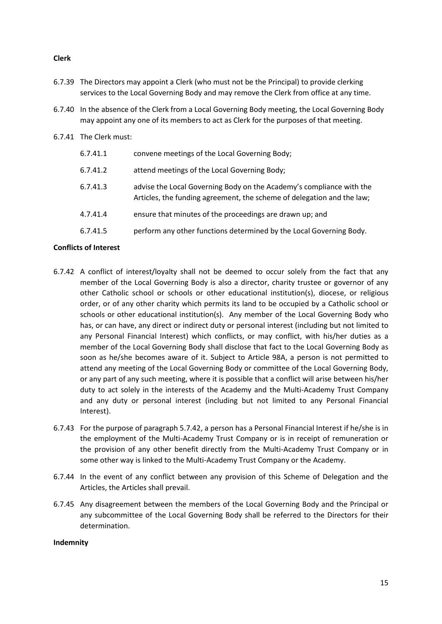## **Clerk**

- 6.7.39 The Directors may appoint a Clerk (who must not be the Principal) to provide clerking services to the Local Governing Body and may remove the Clerk from office at any time.
- 6.7.40 In the absence of the Clerk from a Local Governing Body meeting, the Local Governing Body may appoint any one of its members to act as Clerk for the purposes of that meeting.
- 6.7.41 The Clerk must:

| 6.7.41.1 | convene meetings of the Local Governing Body;                                                                                                  |
|----------|------------------------------------------------------------------------------------------------------------------------------------------------|
| 6.7.41.2 | attend meetings of the Local Governing Body;                                                                                                   |
| 6.7.41.3 | advise the Local Governing Body on the Academy's compliance with the<br>Articles, the funding agreement, the scheme of delegation and the law; |
| 4.7.41.4 | ensure that minutes of the proceedings are drawn up; and                                                                                       |
| 6.7.41.5 | perform any other functions determined by the Local Governing Body.                                                                            |

## **Conflicts of Interest**

- 6.7.42 A conflict of interest/loyalty shall not be deemed to occur solely from the fact that any member of the Local Governing Body is also a director, charity trustee or governor of any other Catholic school or schools or other educational institution(s), diocese, or religious order, or of any other charity which permits its land to be occupied by a Catholic school or schools or other educational institution(s). Any member of the Local Governing Body who has, or can have, any direct or indirect duty or personal interest (including but not limited to any Personal Financial Interest) which conflicts, or may conflict, with his/her duties as a member of the Local Governing Body shall disclose that fact to the Local Governing Body as soon as he/she becomes aware of it. Subject to Article 98A, a person is not permitted to attend any meeting of the Local Governing Body or committee of the Local Governing Body, or any part of any such meeting, where it is possible that a conflict will arise between his/her duty to act solely in the interests of the Academy and the Multi-Academy Trust Company and any duty or personal interest (including but not limited to any Personal Financial Interest).
- 6.7.43 For the purpose of paragraph 5.7.42, a person has a Personal Financial Interest if he/she is in the employment of the Multi-Academy Trust Company or is in receipt of remuneration or the provision of any other benefit directly from the Multi-Academy Trust Company or in some other way is linked to the Multi-Academy Trust Company or the Academy.
- 6.7.44 In the event of any conflict between any provision of this Scheme of Delegation and the Articles, the Articles shall prevail.
- 6.7.45 Any disagreement between the members of the Local Governing Body and the Principal or any subcommittee of the Local Governing Body shall be referred to the Directors for their determination.

### **Indemnity**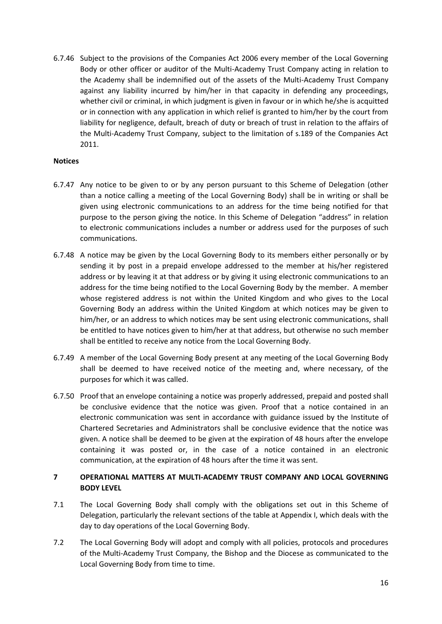6.7.46 Subject to the provisions of the Companies Act 2006 every member of the Local Governing Body or other officer or auditor of the Multi-Academy Trust Company acting in relation to the Academy shall be indemnified out of the assets of the Multi-Academy Trust Company against any liability incurred by him/her in that capacity in defending any proceedings, whether civil or criminal, in which judgment is given in favour or in which he/she is acquitted or in connection with any application in which relief is granted to him/her by the court from liability for negligence, default, breach of duty or breach of trust in relation to the affairs of the Multi-Academy Trust Company, subject to the limitation of s.189 of the Companies Act 2011.

### **Notices**

- 6.7.47 Any notice to be given to or by any person pursuant to this Scheme of Delegation (other than a notice calling a meeting of the Local Governing Body) shall be in writing or shall be given using electronic communications to an address for the time being notified for that purpose to the person giving the notice. In this Scheme of Delegation "address" in relation to electronic communications includes a number or address used for the purposes of such communications.
- 6.7.48 A notice may be given by the Local Governing Body to its members either personally or by sending it by post in a prepaid envelope addressed to the member at his/her registered address or by leaving it at that address or by giving it using electronic communications to an address for the time being notified to the Local Governing Body by the member. A member whose registered address is not within the United Kingdom and who gives to the Local Governing Body an address within the United Kingdom at which notices may be given to him/her, or an address to which notices may be sent using electronic communications, shall be entitled to have notices given to him/her at that address, but otherwise no such member shall be entitled to receive any notice from the Local Governing Body.
- 6.7.49 A member of the Local Governing Body present at any meeting of the Local Governing Body shall be deemed to have received notice of the meeting and, where necessary, of the purposes for which it was called.
- 6.7.50 Proof that an envelope containing a notice was properly addressed, prepaid and posted shall be conclusive evidence that the notice was given. Proof that a notice contained in an electronic communication was sent in accordance with guidance issued by the Institute of Chartered Secretaries and Administrators shall be conclusive evidence that the notice was given. A notice shall be deemed to be given at the expiration of 48 hours after the envelope containing it was posted or, in the case of a notice contained in an electronic communication, at the expiration of 48 hours after the time it was sent.

# **7 OPERATIONAL MATTERS AT MULTI-ACADEMY TRUST COMPANY AND LOCAL GOVERNING BODY LEVEL**

- 7.1 The Local Governing Body shall comply with the obligations set out in this Scheme of Delegation, particularly the relevant sections of the table at Appendix I, which deals with the day to day operations of the Local Governing Body.
- 7.2 The Local Governing Body will adopt and comply with all policies, protocols and procedures of the Multi-Academy Trust Company, the Bishop and the Diocese as communicated to the Local Governing Body from time to time.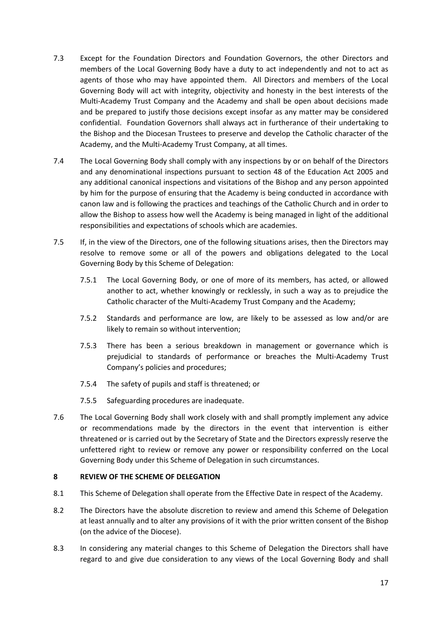- 7.3 Except for the Foundation Directors and Foundation Governors, the other Directors and members of the Local Governing Body have a duty to act independently and not to act as agents of those who may have appointed them. All Directors and members of the Local Governing Body will act with integrity, objectivity and honesty in the best interests of the Multi-Academy Trust Company and the Academy and shall be open about decisions made and be prepared to justify those decisions except insofar as any matter may be considered confidential. Foundation Governors shall always act in furtherance of their undertaking to the Bishop and the Diocesan Trustees to preserve and develop the Catholic character of the Academy, and the Multi-Academy Trust Company, at all times.
- 7.4 The Local Governing Body shall comply with any inspections by or on behalf of the Directors and any denominational inspections pursuant to section 48 of the Education Act 2005 and any additional canonical inspections and visitations of the Bishop and any person appointed by him for the purpose of ensuring that the Academy is being conducted in accordance with canon law and is following the practices and teachings of the Catholic Church and in order to allow the Bishop to assess how well the Academy is being managed in light of the additional responsibilities and expectations of schools which are academies.
- 7.5 If, in the view of the Directors, one of the following situations arises, then the Directors may resolve to remove some or all of the powers and obligations delegated to the Local Governing Body by this Scheme of Delegation:
	- 7.5.1 The Local Governing Body, or one of more of its members, has acted, or allowed another to act, whether knowingly or recklessly, in such a way as to prejudice the Catholic character of the Multi-Academy Trust Company and the Academy;
	- 7.5.2 Standards and performance are low, are likely to be assessed as low and/or are likely to remain so without intervention;
	- 7.5.3 There has been a serious breakdown in management or governance which is prejudicial to standards of performance or breaches the Multi-Academy Trust Company's policies and procedures;
	- 7.5.4 The safety of pupils and staff is threatened; or
	- 7.5.5 Safeguarding procedures are inadequate.
- 7.6 The Local Governing Body shall work closely with and shall promptly implement any advice or recommendations made by the directors in the event that intervention is either threatened or is carried out by the Secretary of State and the Directors expressly reserve the unfettered right to review or remove any power or responsibility conferred on the Local Governing Body under this Scheme of Delegation in such circumstances.

### **8 REVIEW OF THE SCHEME OF DELEGATION**

- 8.1 This Scheme of Delegation shall operate from the Effective Date in respect of the Academy.
- 8.2 The Directors have the absolute discretion to review and amend this Scheme of Delegation at least annually and to alter any provisions of it with the prior written consent of the Bishop (on the advice of the Diocese).
- 8.3 In considering any material changes to this Scheme of Delegation the Directors shall have regard to and give due consideration to any views of the Local Governing Body and shall